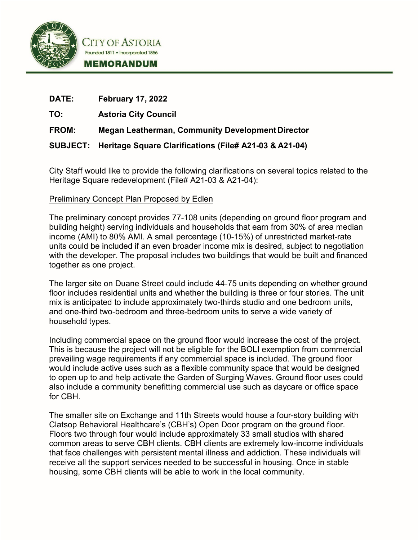

CITY OF ASTORIA Founded 1811 . Incorporated 1856 **MEMORANDUM** 

| <b>DATE:</b> | <b>February 17, 2022</b>                                        |
|--------------|-----------------------------------------------------------------|
| TO:          | <b>Astoria City Council</b>                                     |
| <b>FROM:</b> | <b>Megan Leatherman, Community Development Director</b>         |
|              | SUBJECT: Heritage Square Clarifications (File# A21-03 & A21-04) |

City Staff would like to provide the following clarifications on several topics related to the Heritage Square redevelopment (File# A21-03 & A21-04):

# Preliminary Concept Plan Proposed by Edlen

The preliminary concept provides 77-108 units (depending on ground floor program and building height) serving individuals and households that earn from 30% of area median income (AMI) to 80% AMI. A small percentage (10-15%) of unrestricted market-rate units could be included if an even broader income mix is desired, subject to negotiation with the developer. The proposal includes two buildings that would be built and financed together as one project.

The larger site on Duane Street could include 44-75 units depending on whether ground floor includes residential units and whether the building is three or four stories. The unit mix is anticipated to include approximately two-thirds studio and one bedroom units, and one-third two-bedroom and three-bedroom units to serve a wide variety of household types.

Including commercial space on the ground floor would increase the cost of the project. This is because the project will not be eligible for the BOLI exemption from commercial prevailing wage requirements if any commercial space is included. The ground floor would include active uses such as a flexible community space that would be designed to open up to and help activate the Garden of Surging Waves. Ground floor uses could also include a community benefitting commercial use such as daycare or office space for CBH.

The smaller site on Exchange and 11th Streets would house a four-story building with Clatsop Behavioral Healthcare's (CBH's) Open Door program on the ground floor. Floors two through four would include approximately 33 small studios with shared common areas to serve CBH clients. CBH clients are extremely low-income individuals that face challenges with persistent mental illness and addiction. These individuals will receive all the support services needed to be successful in housing. Once in stable housing, some CBH clients will be able to work in the local community.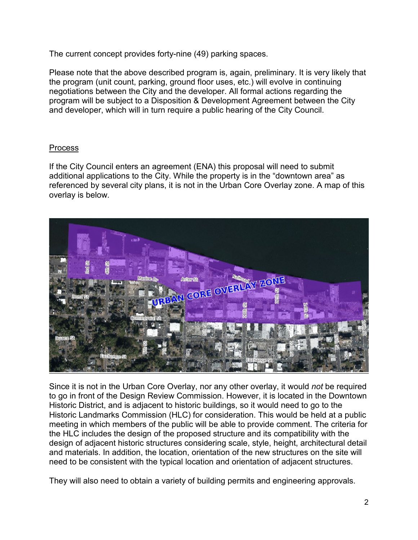The current concept provides forty-nine (49) parking spaces.

Please note that the above described program is, again, preliminary. It is very likely that the program (unit count, parking, ground floor uses, etc.) will evolve in continuing negotiations between the City and the developer. All formal actions regarding the program will be subject to a Disposition & Development Agreement between the City and developer, which will in turn require a public hearing of the City Council.

# **Process**

If the City Council enters an agreement (ENA) this proposal will need to submit additional applications to the City. While the property is in the "downtown area" as referenced by several city plans, it is not in the Urban Core Overlay zone. A map of this overlay is below.



Since it is not in the Urban Core Overlay, nor any other overlay, it would *not* be required to go in front of the Design Review Commission. However, it is located in the Downtown Historic District, and is adjacent to historic buildings, so it would need to go to the Historic Landmarks Commission (HLC) for consideration. This would be held at a public meeting in which members of the public will be able to provide comment. The criteria for the HLC includes the design of the proposed structure and its compatibility with the design of adjacent historic structures considering scale, style, height, architectural detail and materials. In addition, the location, orientation of the new structures on the site will need to be consistent with the typical location and orientation of adjacent structures.

They will also need to obtain a variety of building permits and engineering approvals.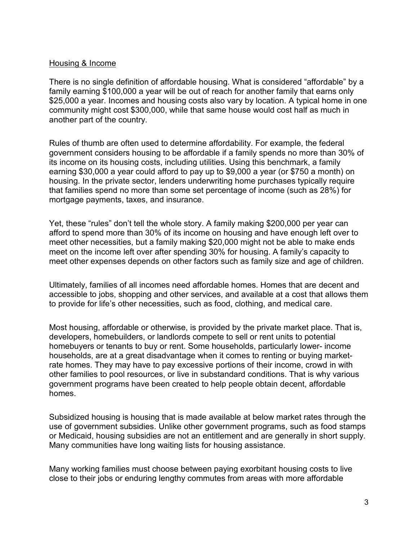## Housing & Income

There is no single definition of affordable housing. What is considered "affordable" by a family earning \$100,000 a year will be out of reach for another family that earns only \$25,000 a year. Incomes and housing costs also vary by location. A typical home in one community might cost \$300,000, while that same house would cost half as much in another part of the country.

Rules of thumb are often used to determine affordability. For example, the federal government considers housing to be affordable if a family spends no more than 30% of its income on its housing costs, including utilities. Using this benchmark, a family earning \$30,000 a year could afford to pay up to \$9,000 a year (or \$750 a month) on housing. In the private sector, lenders underwriting home purchases typically require that families spend no more than some set percentage of income (such as 28%) for mortgage payments, taxes, and insurance.

Yet, these "rules" don't tell the whole story. A family making \$200,000 per year can afford to spend more than 30% of its income on housing and have enough left over to meet other necessities, but a family making \$20,000 might not be able to make ends meet on the income left over after spending 30% for housing. A family's capacity to meet other expenses depends on other factors such as family size and age of children.

Ultimately, families of all incomes need affordable homes. Homes that are decent and accessible to jobs, shopping and other services, and available at a cost that allows them to provide for life's other necessities, such as food, clothing, and medical care.

Most housing, affordable or otherwise, is provided by the private market place. That is, developers, homebuilders, or landlords compete to sell or rent units to potential homebuyers or tenants to buy or rent. Some households, particularly lower- income households, are at a great disadvantage when it comes to renting or buying marketrate homes. They may have to pay excessive portions of their income, crowd in with other families to pool resources, or live in substandard conditions. That is why various government programs have been created to help people obtain decent, affordable homes.

Subsidized housing is housing that is made available at below market rates through the use of government subsidies. Unlike other government programs, such as food stamps or Medicaid, housing subsidies are not an entitlement and are generally in short supply. Many communities have long waiting lists for housing assistance.

Many working families must choose between paying exorbitant housing costs to live close to their jobs or enduring lengthy commutes from areas with more affordable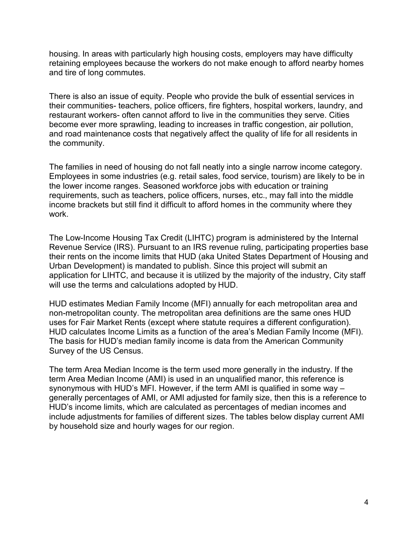housing. In areas with particularly high housing costs, employers may have difficulty retaining employees because the workers do not make enough to afford nearby homes and tire of long commutes.

There is also an issue of equity. People who provide the bulk of essential services in their communities- teachers, police officers, fire fighters, hospital workers, laundry, and restaurant workers- often cannot afford to live in the communities they serve. Cities become ever more sprawling, leading to increases in traffic congestion, air pollution, and road maintenance costs that negatively affect the quality of life for all residents in the community.

The families in need of housing do not fall neatly into a single narrow income category. Employees in some industries (e.g. retail sales, food service, tourism) are likely to be in the lower income ranges. Seasoned workforce jobs with education or training requirements, such as teachers, police officers, nurses, etc., may fall into the middle income brackets but still find it difficult to afford homes in the community where they work.

The Low-Income Housing Tax Credit (LIHTC) program is administered by the Internal Revenue Service (IRS). Pursuant to an IRS revenue ruling, participating properties base their rents on the income limits that HUD (aka United States Department of Housing and Urban Development) is mandated to publish. Since this project will submit an application for LIHTC, and because it is utilized by the majority of the industry, City staff will use the terms and calculations adopted by HUD.

HUD estimates Median Family Income (MFI) annually for each metropolitan area and non-metropolitan county. The metropolitan area definitions are the same ones HUD uses for Fair Market Rents (except where statute requires a different configuration). HUD calculates Income Limits as a function of the area's Median Family Income (MFI). The basis for HUD's median family income is data from the American Community Survey of the US Census.

The term Area Median Income is the term used more generally in the industry. If the term Area Median Income (AMI) is used in an unqualified manor, this reference is synonymous with HUD's MFI. However, if the term AMI is qualified in some way – generally percentages of AMI, or AMI adjusted for family size, then this is a reference to HUD's income limits, which are calculated as percentages of median incomes and include adjustments for families of different sizes. The tables below display current AMI by household size and hourly wages for our region.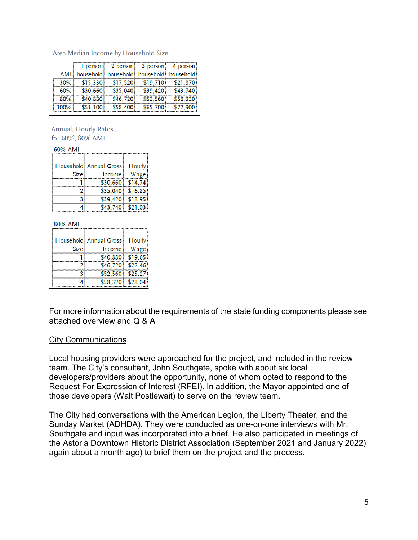|      |          | person 2 person 3 person 4 person       |          |          |
|------|----------|-----------------------------------------|----------|----------|
| AMII |          | household household household household |          |          |
| 30%  | \$15,330 | \$17.520                                | \$19,710 | \$21,870 |
| 60%  | \$30,660 | \$35,040                                | \$39,420 | \$43,740 |
| 80%  | \$40.880 | \$46,720                                | \$52.560 | \$58,320 |
| 100% | \$51,100 | \$58,400                                | \$65,700 | \$72.90  |

Area Median Income by Household Size

Annual, Hourly Rates, for 60%, 80% AMI

#### 60% AMI

|             | Household   Annual Gross | Hourly             |
|-------------|--------------------------|--------------------|
| <b>Size</b> | Income i                 | Wage               |
|             | \$30,660                 | \$14.74\$          |
|             |                          | $$35,040$ $$16.85$ |
|             | \$39,420                 | \$18.95            |
|             |                          | \$43.740 \$21.03   |

#### 80% AMI

|      | Household Annual Gross | Hourly  |
|------|------------------------|---------|
| Size | Income                 | Wage    |
|      | \$40,880               | \$19.65 |
|      | \$46,720 \$22.46       |         |
|      | $$52,560$ $$25.27$     |         |
|      | \$58,320 \$28.04       |         |

For more information about the requirements of the state funding components please see attached overview and Q & A

### City Communications

Local housing providers were approached for the project, and included in the review team. The City's consultant, John Southgate, spoke with about six local developers/providers about the opportunity, none of whom opted to respond to the Request For Expression of Interest (RFEI). In addition, the Mayor appointed one of those developers (Walt Postlewait) to serve on the review team.

The City had conversations with the American Legion, the Liberty Theater, and the Sunday Market (ADHDA). They were conducted as one-on-one interviews with Mr. Southgate and input was incorporated into a brief. He also participated in meetings of the Astoria Downtown Historic District Association (September 2021 and January 2022) again about a month ago) to brief them on the project and the process.